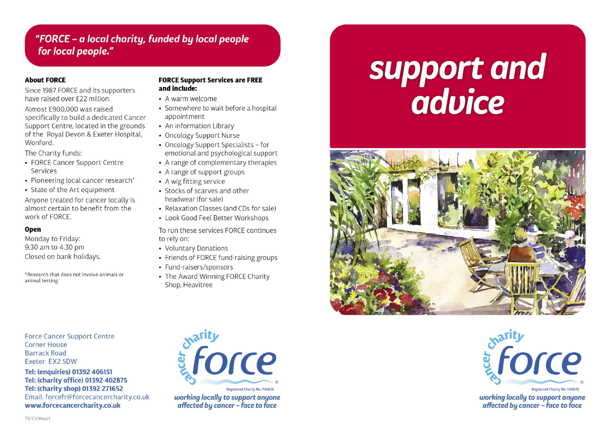# "FORCE - a local charity, funded by local people for local people."

### **About FORCE**

Since 1987 FORCE and its supporters have raised over £22 million.

Almost £900,000 was raised specifically to build a dedicated Cancer Support Centre, located in the grounds of the Royal Devon & Exeter Hospital, **Wonford** 

The Charity funds:

- FORCE Cancer Support Centre Services
- Pioneering local cancer research\*
- State of the Art equipment

Anyone treated for cancer locally is almost certain to benefit from the work of FORCE.

## **Open**

Monday to Friday: 9.30 am to 4.30 pm Closed on bank holidays.

\*Research that does not involve animals or animal testing

### **FORCE Support Services are FREE** and include:

- A warm welcome
- Somewhere to wait before a hospital appointment
- An information Library
- Oncology Support Nurse
- Oncology Support Specialists for emotional and psychological support
- A range of complementary therapies
- A range of support groups
- A wig fitting service
- Stocks of scarves and other headwear (for sale)
- Relaxation Classes (and CDs for sale)
- Look Good Feel Better Workshops

To run these services FORCE continues to rely on:

- Voluntary Donations
- Friends of FORCE fund-raising groups
- Fund-raisers/sponsors
- The Award Winning FORCE Charity Shop, Heavitree

# support and<br>advice





working locally to support anyone affected by cancer ~ face to face

**Force Cancer Support Centre Corner House Barrack Road** Exeter EX2 5DW

Tel: (enquiries) 01392 406151 Tel: (charity office) 01392 402875 Tel: (charity shop) 01392 271652 Email: forcefr@forcecancercharity.co.uk www.forcecancercharity.co.uk



working locally to support anyone affected by cancer ~ face to face